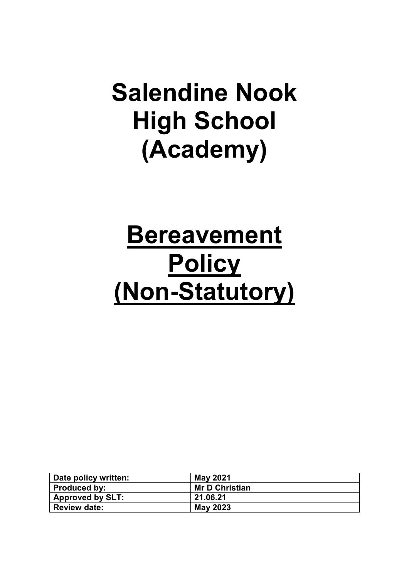# **Salendine Nook High School (Academy)**

# **Bereavement Policy (Non-Statutory)**

| Date policy written:    | <b>May 2021</b>       |
|-------------------------|-----------------------|
| Produced by:            | <b>Mr D Christian</b> |
| <b>Approved by SLT:</b> | 21.06.21              |
| <b>Review date:</b>     | May 2023              |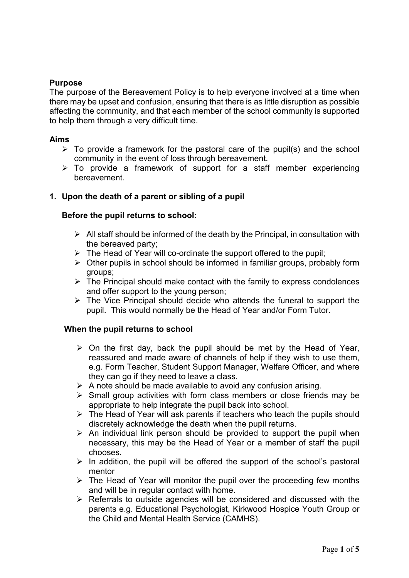# **Purpose**

The purpose of the Bereavement Policy is to help everyone involved at a time when there may be upset and confusion, ensuring that there is as little disruption as possible affecting the community, and that each member of the school community is supported to help them through a very difficult time.

#### **Aims**

- $\triangleright$  To provide a framework for the pastoral care of the pupil(s) and the school community in the event of loss through bereavement.
- $\triangleright$  To provide a framework of support for a staff member experiencing bereavement.

## **1. Upon the death of a parent or sibling of a pupil**

## **Before the pupil returns to school:**

- $\triangleright$  All staff should be informed of the death by the Principal, in consultation with the bereaved party;
- $\triangleright$  The Head of Year will co-ordinate the support offered to the pupil;
- $\triangleright$  Other pupils in school should be informed in familiar groups, probably form groups;
- $\triangleright$  The Principal should make contact with the family to express condolences and offer support to the young person;
- $\triangleright$  The Vice Principal should decide who attends the funeral to support the pupil. This would normally be the Head of Year and/or Form Tutor.

## **When the pupil returns to school**

- $\triangleright$  On the first day, back the pupil should be met by the Head of Year, reassured and made aware of channels of help if they wish to use them, e.g. Form Teacher, Student Support Manager, Welfare Officer, and where they can go if they need to leave a class.
- $\triangleright$  A note should be made available to avoid any confusion arising.
- $\triangleright$  Small group activities with form class members or close friends may be appropriate to help integrate the pupil back into school.
- $\triangleright$  The Head of Year will ask parents if teachers who teach the pupils should discretely acknowledge the death when the pupil returns.
- $\triangleright$  An individual link person should be provided to support the pupil when necessary, this may be the Head of Year or a member of staff the pupil chooses.
- $\triangleright$  In addition, the pupil will be offered the support of the school's pastoral mentor
- $\triangleright$  The Head of Year will monitor the pupil over the proceeding few months and will be in regular contact with home.
- $\triangleright$  Referrals to outside agencies will be considered and discussed with the parents e.g. Educational Psychologist, Kirkwood Hospice Youth Group or the Child and Mental Health Service (CAMHS).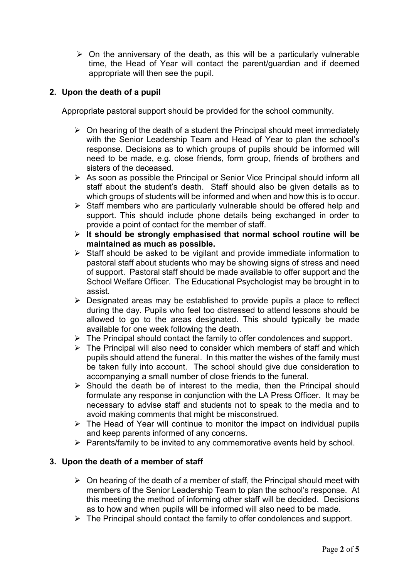$\triangleright$  On the anniversary of the death, as this will be a particularly vulnerable time, the Head of Year will contact the parent/guardian and if deemed appropriate will then see the pupil.

# **2. Upon the death of a pupil**

Appropriate pastoral support should be provided for the school community.

- $\triangleright$  On hearing of the death of a student the Principal should meet immediately with the Senior Leadership Team and Head of Year to plan the school's response. Decisions as to which groups of pupils should be informed will need to be made, e.g. close friends, form group, friends of brothers and sisters of the deceased.
- $\triangleright$  As soon as possible the Principal or Senior Vice Principal should inform all staff about the student's death. Staff should also be given details as to which groups of students will be informed and when and how this is to occur.
- $\triangleright$  Staff members who are particularly vulnerable should be offered help and support. This should include phone details being exchanged in order to provide a point of contact for the member of staff.
- **It should be strongly emphasised that normal school routine will be maintained as much as possible.**
- $\triangleright$  Staff should be asked to be vigilant and provide immediate information to pastoral staff about students who may be showing signs of stress and need of support. Pastoral staff should be made available to offer support and the School Welfare Officer. The Educational Psychologist may be brought in to assist.
- $\triangleright$  Designated areas may be established to provide pupils a place to reflect during the day. Pupils who feel too distressed to attend lessons should be allowed to go to the areas designated. This should typically be made available for one week following the death.
- $\triangleright$  The Principal should contact the family to offer condolences and support.
- $\triangleright$  The Principal will also need to consider which members of staff and which pupils should attend the funeral. In this matter the wishes of the family must be taken fully into account. The school should give due consideration to accompanying a small number of close friends to the funeral.
- $\triangleright$  Should the death be of interest to the media, then the Principal should formulate any response in conjunction with the LA Press Officer. It may be necessary to advise staff and students not to speak to the media and to avoid making comments that might be misconstrued.
- $\triangleright$  The Head of Year will continue to monitor the impact on individual pupils and keep parents informed of any concerns.
- $\triangleright$  Parents/family to be invited to any commemorative events held by school.

## **3. Upon the death of a member of staff**

- $\triangleright$  On hearing of the death of a member of staff, the Principal should meet with members of the Senior Leadership Team to plan the school's response. At this meeting the method of informing other staff will be decided. Decisions as to how and when pupils will be informed will also need to be made.
- $\triangleright$  The Principal should contact the family to offer condolences and support.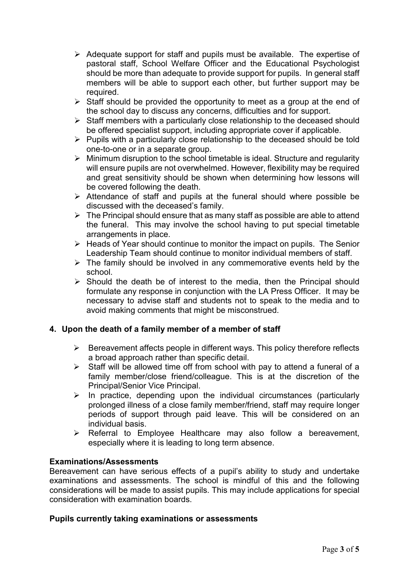- $\triangleright$  Adequate support for staff and pupils must be available. The expertise of pastoral staff, School Welfare Officer and the Educational Psychologist should be more than adequate to provide support for pupils. In general staff members will be able to support each other, but further support may be required.
- $\triangleright$  Staff should be provided the opportunity to meet as a group at the end of the school day to discuss any concerns, difficulties and for support.
- $\triangleright$  Staff members with a particularly close relationship to the deceased should be offered specialist support, including appropriate cover if applicable.
- $\triangleright$  Pupils with a particularly close relationship to the deceased should be told one-to-one or in a separate group.
- $\triangleright$  Minimum disruption to the school timetable is ideal. Structure and regularity will ensure pupils are not overwhelmed. However, flexibility may be required and great sensitivity should be shown when determining how lessons will be covered following the death.
- Attendance of staff and pupils at the funeral should where possible be discussed with the deceased's family.
- $\triangleright$  The Principal should ensure that as many staff as possible are able to attend the funeral. This may involve the school having to put special timetable arrangements in place.
- $\triangleright$  Heads of Year should continue to monitor the impact on pupils. The Senior Leadership Team should continue to monitor individual members of staff.
- $\triangleright$  The family should be involved in any commemorative events held by the school.
- $\triangleright$  Should the death be of interest to the media, then the Principal should formulate any response in conjunction with the LA Press Officer. It may be necessary to advise staff and students not to speak to the media and to avoid making comments that might be misconstrued.

# **4. Upon the death of a family member of a member of staff**

- $\triangleright$  Bereavement affects people in different ways. This policy therefore reflects a broad approach rather than specific detail.
- $\triangleright$  Staff will be allowed time off from school with pay to attend a funeral of a family member/close friend/colleague. This is at the discretion of the Principal/Senior Vice Principal.
- $\triangleright$  In practice, depending upon the individual circumstances (particularly prolonged illness of a close family member/friend, staff may require longer periods of support through paid leave. This will be considered on an individual basis.
- $\triangleright$  Referral to Employee Healthcare may also follow a bereavement, especially where it is leading to long term absence.

## **Examinations/Assessments**

Bereavement can have serious effects of a pupil's ability to study and undertake examinations and assessments. The school is mindful of this and the following considerations will be made to assist pupils. This may include applications for special consideration with examination boards.

## **Pupils currently taking examinations or assessments**